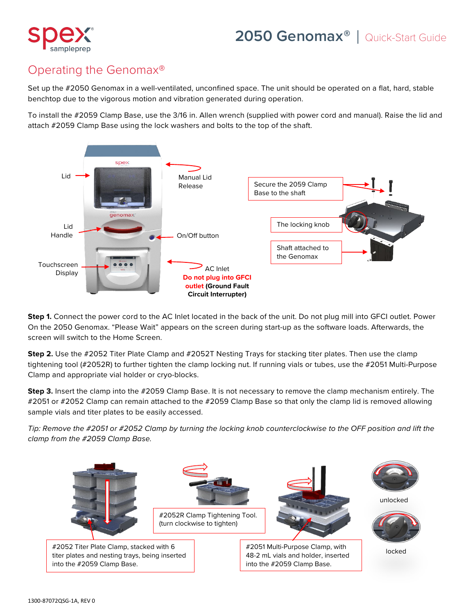

## Operating the Genomax®

Set up the #2050 Genomax in a well-ventilated, unconfined space. The unit should be operated on a flat, hard, stable benchtop due to the vigorous motion and vibration generated during operation.

To install the #2059 Clamp Base, use the 3/16 in. Allen wrench (supplied with power cord and manual). Raise the lid and attach #2059 Clamp Base using the lock washers and bolts to the top of the shaft.



**Step 1.** Connect the power cord to the AC Inlet located in the back of the unit. Do not plug mill into GFCI outlet. Power On the 2050 Genomax. "Please Wait" appears on the screen during start-up as the software loads. Afterwards, the screen will switch to the Home Screen.

**Step 2.** Use the #2052 Titer Plate Clamp and #2052T Nesting Trays for stacking titer plates. Then use the clamp tightening tool (#2052R) to further tighten the clamp locking nut. If running vials or tubes, use the #2051 Multi-Purpose Clamp and appropriate vial holder or cryo-blocks.

**Step 3.** Insert the clamp into the #2059 Clamp Base. It is not necessary to remove the clamp mechanism entirely. The #2051 or #2052 Clamp can remain attached to the #2059 Clamp Base so that only the clamp lid is removed allowing sample vials and titer plates to be easily accessed.

*Tip: Remove the #2051 or #2052 Clamp by turning the locking knob counterclockwise to the OFF position and lift the clamp from the #2059 Clamp Base.*